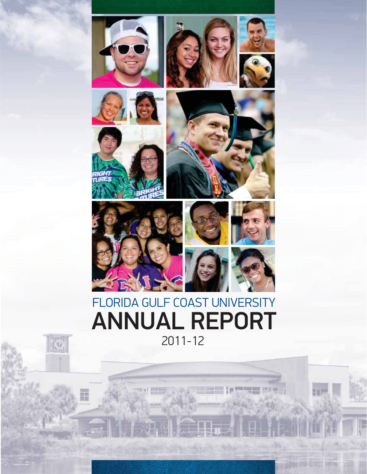







FGCU ANNUAL REPORT | 2011-12 **1**





TEC

Ŧ





## FLORIDA GULF COAST UNIVERSITY 2011-12 ANNUAL REPORT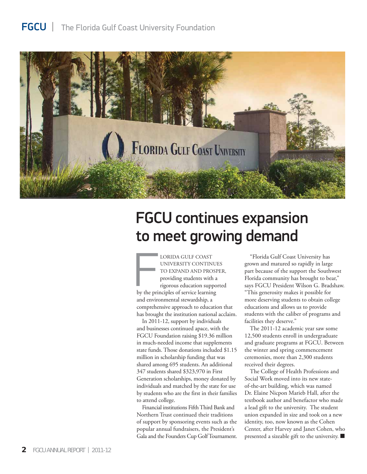### FGCU |The Florida Gulf Coast University Foundation



## FGCU continues expansion to meet growing demand

LORIDA GULF COAST UNIVERSITY CONTINUES TO EXPAND AND PROSPER, providing students with a rigorous education supported by the principles of service learning and environmental stewardship, a comprehensive approach to education that has brought the institution national acclaim. F<br>F

In 2011-12, support by individuals and businesses continued apace, with the FGCU Foundation raising \$19.36 million in much-needed income that supplements state funds. Those donations included \$1.15 million in scholarship funding that was shared among 695 students. An additional 347 students shared \$323,970 in First Generation scholarships, money donated by individuals and matched by the state for use by students who are the first in their families to attend college.

Financial institutions Fifth Third Bank and Northern Trust continued their traditions of support by sponsoring events such as the popular annual fundraisers, the President's Gala and the Founders Cup Golf Tournament.

"Florida Gulf Coast University has grown and matured so rapidly in large part because of the support the Southwest Florida community has brought to bear," says FGCU President Wilson G. Bradshaw. "This generosity makes it possible for more deserving students to obtain college educations and allows us to provide students with the caliber of programs and facilities they deserve."

The 2011-12 academic year saw some 12,500 students enroll in undergraduate and graduate programs at FGCU. Between the winter and spring commencement ceremonies, more than 2,300 students received their degrees.

The College of Health Professions and Social Work moved into its new stateof-the-art building, which was named Dr. Elaine Nicpon Marieb Hall, after the textbook author and benefactor who made a lead gift to the university. The student union expanded in size and took on a new identity, too, now known as the Cohen Center, after Harvey and Janet Cohen, who presented a sizeable gift to the university.  $\blacksquare$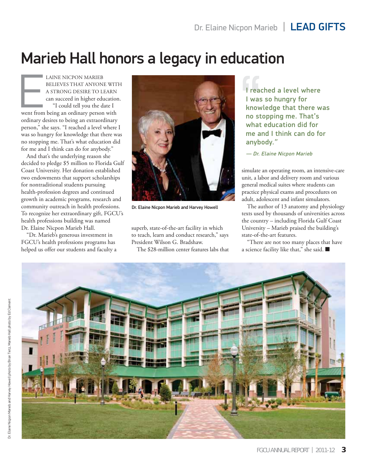## Marieb Hall honors a legacy in education

LAINE NICPON MARIEB BELIEVES THAT ANYONE WITH A STRONG DESIRE TO LEARN can succeed in higher education. "I could tell you the date I went from being an ordinary person with ordinary desires to being an extraordinary person," she says. "I reached a level where I was so hungry for knowledge that there was no stopping me. That's what education did for me and I think can do for anybody."  $\overline{\mathsf{E}}$ 

And that's the underlying reason she decided to pledge \$5 million to Florida Gulf Coast University. Her donation established two endowments that support scholarships for nontraditional students pursuing health-profession degrees and continued growth in academic programs, research and community outreach in health professions. To recognize her extraordinary gift, FGCU's health professions building was named Dr. Elaine Nicpon Marieb Hall.

"Dr. Marieb's generous investment in FGCU's health professions programs has helped us offer our students and faculty a



Dr. Elaine Nicpon Marieb and Harvey Howell

superb, state-of-the-art facility in which to teach, learn and conduct research," says President Wilson G. Bradshaw.

The \$28-million center features labs that

I reached a level where I was so hungry for knowledge that there was no stopping me. That's what education did for me and I think can do for anybody."

— Dr. Elaine Nicpon Marieb

simulate an operating room, an intensive-care unit, a labor and delivery room and various general medical suites where students can practice physical exams and procedures on adult, adolescent and infant simulators.

The author of 13 anatomy and physiology texts used by thousands of universities across the country – including Florida Gulf Coast University – Marieb praised the building's state-of-the-art features.

"There are not too many places that have a science facility like that," she said.  $\blacksquare$ 

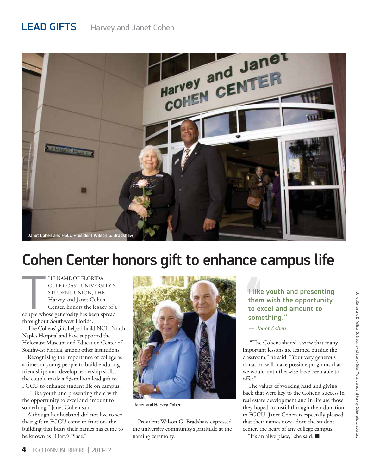## LEAD GIFTS|Harvey and Janet Cohen



## Cohen Center honors gift to enhance campus life

HE NAME OF FLORIDA GULF COAST UNIVERSITY'S STUDENT UNION, THE Harvey and Janet Cohen Center, honors the legacy of a couple whose generosity has been spread throughout Southwest Florida.  $\overline{\mathsf{T}}$ 

The Cohens' gifts helped build NCH North Naples Hospital and have supported the Holocaust Museum and Education Center of Southwest Florida, among other institutions.

Recognizing the importance of college as a time for young people to build enduring friendships and develop leadership skills, the couple made a \$3-million lead gift to FGCU to enhance student life on campus.

"I like youth and presenting them with the opportunity to excel and amount to something," Janet Cohen said.

Although her husband did not live to see their gift to FGCU come to fruition, the building that bears their names has come to be known as "Harv's Place."



Janet and Harvey Cohen

President Wilson G. Bradshaw expressed the university community's gratitude at the naming ceremony.

# The youth and presenting<br>
them with the opportunity<br>
to excel and amount to<br>
something."<br>
— Janet Cohen<br>
"The Cohens shared a view that many them with the opportunity to excel and amount to something."

— Janet Cohen

 "The Cohens shared a view that many important lessons are learned outside the classroom," he said. "Your very generous donation will make possible programs that we would not otherwise have been able to offer."

The values of working hard and giving back that were key to the Cohens' success in real estate development and in life are those they hoped to instill through their donation to FGCU. Janet Cohen is especially pleased that their names now adorn the student center, the heart of any college campus.

"It's an alive place," she said.  $\blacksquare$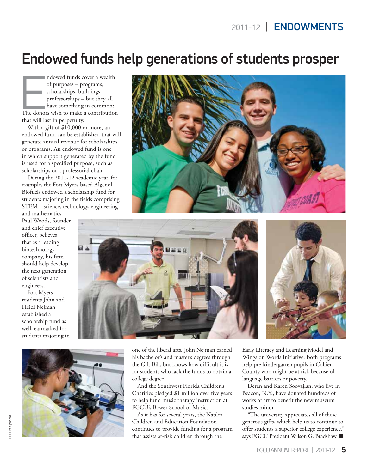## Endowed funds help generations of students prosper

ndowed funds cover a wealth of purposes – programs, scholarships, buildings, professorships – but they all have something in common: The donors wish to make a contribution that will last in perpetuity. End<br>E

With a gift of \$10,000 or more, an endowed fund can be established that will generate annual revenue for scholarships or programs. An endowed fund is one in which support generated by the fund is used for a specified purpose, such as scholarships or a professorial chair.

During the 2011-12 academic year, for example, the Fort Myers-based Algenol Biofuels endowed a scholarship fund for students majoring in the fields comprising STEM – science, technology, engineering and mathematics.

Paul Woods, founder and chief executive officer, believes that as a leading biotechnology company, his firm should help develop the next generation of scientists and engineers.

Fort Myers residents John and Heidi Nejman established a scholarship fund as well, earmarked for students majoring in









one of the liberal arts. John Nejman earned his bachelor's and master's degrees through the G.I. Bill, but knows how difficult it is for students who lack the funds to obtain a college degree.

And the Southwest Florida Children's Charities pledged \$1 million over five years to help fund music therapy instruction at FGCU's Bower School of Music.

As it has for several years, the Naples Children and Education Foundation continues to provide funding for a program that assists at-risk children through the

Early Literacy and Learning Model and Wings on Words Initiative. Both programs help pre-kindergarten pupils in Collier County who might be at risk because of language barriers or poverty.

Deran and Karen Soovajian, who live in Beacon, N.Y., have donated hundreds of works of art to benefit the new museum studies minor.

"The university appreciates all of these generous gifts, which help us to continue to offer students a superior college experience," says FGCU President Wilson G. Bradshaw.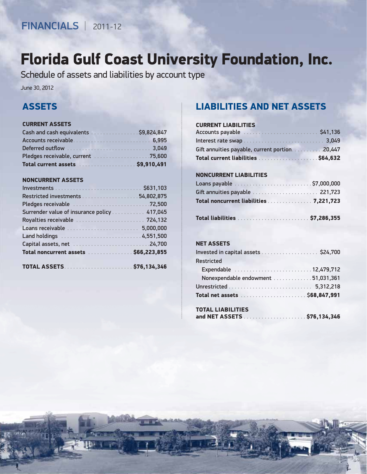### ASSETS

#### CURRENT ASSETS

| Cash and cash equivalents  \$9,824,847 |  |  |  |  |  |  |
|----------------------------------------|--|--|--|--|--|--|
|                                        |  |  |  |  |  |  |
|                                        |  |  |  |  |  |  |
|                                        |  |  |  |  |  |  |
| Total current assets \$9,910,491       |  |  |  |  |  |  |

#### NONCURRENT ASSETS

| <b>ASSETS</b><br><b>CURRENT ASSETS</b><br>Cash and cash equivalents  \$9,824,847<br>Total current assets \$9,910,491<br><b>NONCURRENT ASSETS</b><br>Surrender value of insurance policy 417,045<br>Royalties receivable  724,132<br>Loans receivable  5,000,000<br>Total noncurrent assets \$66,223,855 | <b>LIABILITIES AND NET ASSETS</b><br><b>CURRENT LIABILITIES</b><br>Gift annuities payable, current portion20,4<br>Total current liabilities  \$64,6<br><b>NONCURRENT LIABILITIES</b><br>Gift annuities payable  221,7<br>Total noncurrent liabilities 7,221,7<br><b>NET ASSETS</b><br>Invested in capital assets \$24,7 |
|---------------------------------------------------------------------------------------------------------------------------------------------------------------------------------------------------------------------------------------------------------------------------------------------------------|-------------------------------------------------------------------------------------------------------------------------------------------------------------------------------------------------------------------------------------------------------------------------------------------------------------------------|
|                                                                                                                                                                                                                                                                                                         |                                                                                                                                                                                                                                                                                                                         |
|                                                                                                                                                                                                                                                                                                         | <b>Restricted</b><br>Expendable 12,479,7<br>Nonexpendable endowment 51,031,3                                                                                                                                                                                                                                            |
|                                                                                                                                                                                                                                                                                                         | <b>TOTAL LIABILITIES</b><br>and NET ASSETS<br>\$76,134,3                                                                                                                                                                                                                                                                |

### LIABILITIES AND NET ASSETS

#### CURRENT LIABILITIES

| Accounts payable                         | \$41,136  |
|------------------------------------------|-----------|
|                                          | 3.049     |
| Gift annuities payable, current portion. | 0.447     |
| Total current liabilities                | .564, 632 |

#### NONCURRENT LIABILITIES

| Gift annuities payable $\ldots \ldots \ldots \ldots \ldots \ldots$ 221,723 |  |
|----------------------------------------------------------------------------|--|
| Total noncurrent liabilities 7,221,723                                     |  |
|                                                                            |  |

#### NET ASSETS

| Invested in capital assets \$24,700 |  |
|-------------------------------------|--|
| <b>Restricted</b>                   |  |
|                                     |  |
| Nonexpendable endowment 51,031,361  |  |
|                                     |  |
|                                     |  |

### TOTAL LIABILITIES

|--|--|--|--|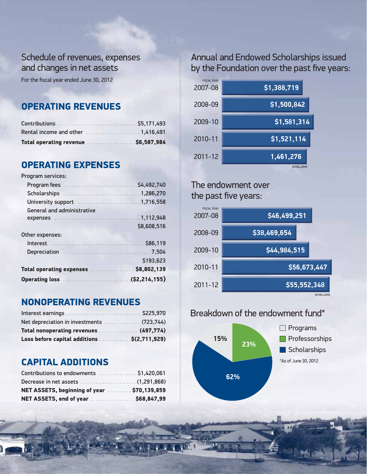### Schedule of revenues, expenses and changes in net assets

For the fiscal year ended June 30, 2012

### OPERATING REVENUES

| Total operating revenue \$6,587,984 |  |  |  |  |
|-------------------------------------|--|--|--|--|

### OPERATING EXPENSES

Program services:

| Scholarships 1,286,270               |             |
|--------------------------------------|-------------|
| University support 1,716,558         |             |
| <b>General and administrative</b>    |             |
|                                      |             |
|                                      | \$8,608,516 |
| Other expenses:                      |             |
|                                      | \$86,119    |
|                                      |             |
|                                      | \$193,623   |
| Total operating expenses \$8,802,139 |             |
|                                      |             |

### NONOPERATING REVENUES

| Net depreciation in investments  (723,744)  |  |
|---------------------------------------------|--|
| Total nonoperating revenues  (497,774)      |  |
| Loss before capital additions \$(2,711,929) |  |

### CAPITAL ADDITIONS

| NET ASSETS, end of year \$68,847,99        |  |
|--------------------------------------------|--|
| NET ASSETS, beginning of year \$70,139,859 |  |
|                                            |  |
| Contributions to endowments \$1,420,061    |  |

### Annual and Endowed Scholarships issued by the Foundation over the past five years:



### The endowment over the past five years:



### Breakdown of the endowment fund\*



FGCU ANNUAL REPORT FGCU REPORT | 2011-12 **7**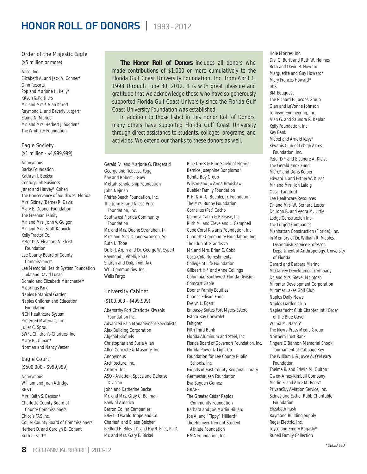#### Order of the Majestic Eagle

(\$5 million or more)

Alico, Inc. Elizabeth  $\Delta$  and Jack  $\Delta$  Conner<sup>\*</sup> Ginn Resorts Pop and Marjorie H. Kelly\* Kitson & Partners Mr. and Mrs.\* Alan Korest Raymond L. and Beverly Lutgert\* Elaine N. Marieb Mr. and Mrs. Herbert J. Sugden\* The Whitaker Foundation

#### Eagle Society

(\$1 million - \$4,999,999)

Anonymous Backe Foundation Kathryn I. Beeken CenturyLink Business Janet and Harvey\* Cohen The Conservancy of Southwest Florida Mrs. Sidney (Berne) R. Davis Mary E. Dooner Foundation The Freeman Family Mr. and Mrs. John V. Guigon Mr. and Mrs. Scott Kapnick Kelly Tractor Co. Peter D. & Eleanore A. Kleist Foundation Lee County Board of County Commissioners Lee Memorial Health System Foundation Linda and David Lucas Donald and Elizabeth Manchester\* Moorings Park Naples Botanical Garden Naples Children and Education Foundation NCH Healthcare System Preferred Materials, Inc. Juliet C. Sproul SWFL Children's Charities, Inc Mary B. Ullman\* Norman and Nancy Vester

#### Eagle Court

(\$500,000 - \$999,999)

Anonymous William and Joan Attridge BB&T Mrs. Keith S. Benson\* Charlotte County Board of County Commissioners Chico's FAS Inc. Collier County Board of Commissioners Herbert D. and Carolyn E. Conant Ruth L. Faith\*

**The Honor Roll of Donors** includes all donors who made contributions of \$1,000 or more cumulatively to the Florida Gulf Coast University Foundation, Inc. from April 1, 1993 through June 30, 2012. It is with great pleasure and gratitude that we acknowledge those who have so generously supported Florida Gulf Coast University since the Florida Gulf Coast University Foundation was established.

In addition to those listed in this Honor Roll of Donors, many others have supported Florida Gulf Coast University through direct assistance to students, colleges, programs, and activities. We extend our thanks to these donors as well.

Gerald F.\* and Marjorie G. Fitzgerald George and Rebecca Fogg Kay and Robert T. Gow Meftah Scholarship Foundation John Nejman Pfeffer-Beach Foundation, Inc. The John E. and Aliese Price Foundation, Inc. Southwest Florida Community Foundation Mr. and Mrs. Duane Stranahan, Jr. Mr.\* and Mrs. Duane Swanson, Sr. Ruth U. Tobe Dr. E. J. Arpin and Dr. George W. Sypert Raymond J. Vitelli, Ph.D. Sharon and Dolph von Arx WCI Communities, Inc. Wells Fargo

#### University Cabinet

(\$100,000 - \$499,999)

Abernathy Port Charlotte Kiwanis Foundation Inc. Advanced Pain Management Specialists Ajax Building Corporation Algenol Biofuels Christopher and Susie Allen Allen Concrete & Masonry, Inc Anonymous Architecture, Inc. Arthrex, Inc. ASQ - Aviation, Space and Defense Division John and Katherine Backe Mr. and Mrs. Gray C. Ballman Bank of America Barron Collier Companies BB&T - Oswald Trippe and Co. Charles\* and Eileen Belcher Bedford H. Biles, J.D. and Fay R. Biles, Ph.D. Mr. and Mrs. Gary E. Bickel

Blue Cross & Blue Shield of Florida Bernice Josephine Bongiorno\* Bonita Bay Group Wilson and Jo Anna Bradshaw Buehler Family Foundation P. H. & A. C. Buehler, Jr. Foundation The Mrs. Bunny Foundation Cornelius (Pat) Cacho Caloosa Catch & Release, Inc. Ruth M. and Cleveland L. Campbell Cape Coral Kiwanis Foundation, Inc. Charlotte Community Foundation, Inc. The Club at Grandezza Mr. and Mrs. Brian E. Cobb Coca-Cola Refreshments College of Life Foundation Gilbeart H.\* and Anne Collings Columbia, Southwest Florida Division Comcast Cable Dooner Family Equities Charles Edison Fund Evelyn L. Egan\* Embassy Suites Fort Myers-Estero Estero Bay Chevrolet Fahlgren Fifth Third Bank Florida Aluminum and Steel, Inc. Florida Board of Governors Foundation, Inc. Florida Power & Light Co. Foundation for Lee County Public Schools, Inc. Friends of East County Regional Library Germeshausen Foundation Eva Sugden Gomez GRAEF The Greater Cedar Rapids Community Foundation Barbara and Joe Marlin Hilliard Joe A. and "Tippy" Hilliard\* The Hillmyer-Tremont Student Athlete Foundation HMA Foundation, Inc.

Hole Montes, Inc. Drs. G. Burtt and Ruth W. Holmes Beth and David B. Howard Marguerite and Guy Howard\* Mary Frances Howard\* IBIS BM Eduquest The Richard E. Jacobs Group Glen and LaVonne Johnson Johnson Engineering, Inc. Alan G. and Saundra R. Kaplan Kelly Foundation, Inc. Key Bank Mabel and Arnold Keys\* Kiwanis Club of Lehigh Acres Foundation, Inc. Peter D.\* and Eleanore A. Kleist The Gerald Knox Fund Marc\* and Doris Kolber Edward T. and Esther W. Kuss\* Mr. and Mrs. Jon Laidig Oscar Langford Lee Healthcare Resources Dr. and Mrs. W. Bernard Lester Dr. John R. and Veora M. Little Lodge Construction Inc. The Lutgert Companies Manhattan Construction (Florida), Inc. In Memory of Dr. William R. Maples, Distinguish Service Professor, Department of Anthropology, University of Florida Gerard and Barbara Marino McGarvey Development Company Dr. and Mrs. Steve McIntosh Miromar Development Corporation Miromar Lakes Golf Club Naples Daily News Naples Garden Club Naples Yacht Club Chapter, Int'l Order of the Blue Gavel Wilma M. Nason\* The News-Press Media Group Northern Trust Bank Fingers O'Bannon Memorial Snook Tournament at Cabbage Key The William J. & Joyce A. O'Meara Foundation Thelma B. and Edwin M. Oulton\* Owen-Ames-Kimball Company Marlin F. and Alice M. Perry\* PrivateSky Aviation Service, Inc. Sidney and Esther Rabb Charitable Foundation Elizabeth Rash Raymond Building Supply Regal Electric, Inc. Joyce and Emory Rogaski\* Rubell Family Collection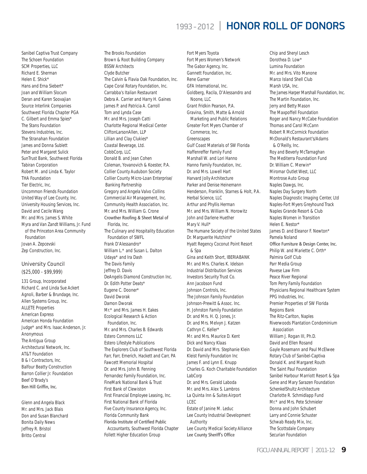Sanibel Captiva Trust Company The Schoen Foundation SCM Properties, LLC Richard E. Sherman Helen E. Shick\* Hans and Erna Siebert\* Joan and William Slocum Deran and Karen Soovajian Source Interlink Companies Southwest Florida Chapter PGA C. Gilbert and Emma Spies\* The Stans Foundation Stevens Industries, Inc. The Stranahan Foundation James and Donna Sublett Peter and Margaret Sulick SunTrust Bank, Southwest Florida Tabiran Corporation Robert M. and Linda K. Taylor THA Foundation Tier Electric, Inc. Uncommon Friends Foundation United Way of Lee County, Inc. University Housing Services, Inc. David and Cecile Wang Mr. and Mrs. James S. White Myra and Van Zandt Williams, Jr. Fund of the Princeton Area Community Foundation Jovan A. Zepcevski Zep Construction, Inc.

#### University Council

(\$25,000 - \$99,999)

131 Group, Incorporated Richard C. and Linda Sue Ackert Agnoli, Barber & Brundage, Inc. Allen Systems Group, Inc. ALLETE Properties American Express American Honda Foundation Judge\* and Mrs. Isaac Anderson, Jr. Anonymous The Antigua Group Architectural Network, Inc. AT&T Foundation B & I Contractors, Inc. Balfour Beatty Construction Barron Collier Jr. Foundation Beef O'Brady's Ben Hill Griffin, Inc.

Glenn and Angela Black Mr. and Mrs. Jack Blais Don and Susan Blanchard Bonita Daily News Jeffrey R. Bristol Britto Central

The Brooks Foundation Brown & Root Building Company BSSW Architects Clyde Butcher The Calvin & Flavia Oak Foundation, Inc. Cape Coral Rotary Foundation, Inc. Carrabba's Italian Restaurant Debra A. Carrier and Harry H. Gaines James P. and Patricia A. Carroll Tom and Lynda Case Mr. and Mrs. Joseph Catti Charlotte Regional Medical Center CliftonLarsonAllen, LLP Lillian and Clay Clukies\* Coastal Beverage, Ltd. CobbCorp, LLC Donald B. and Jean Cohen Coleman, Yovanovich & Koester, P.A. Collier County Audubon Society Collier County Micro-Loan Enterprise/ Banking Partnership Gregory and Angela Valvo Collins Commercial Air Management, Inc. Community Health Association, Inc. Mr. and Mrs. William G. Crone Crowther Roofing & Sheet Metal of Florida, Inc. The Culinary and Hospitality Education Foundation of SWFL Frank D'Alessandro\* William L.\* and Susan L. Dalton Udaya\* and Ira Dash The Davis Family Jeffrey D. Davis DeAngelis Diamond Construction Inc. Dr. Edith Potter Deats\* Eugene C. Dooner\* David Dworak Damon Dworak Mr.\* and Mrs. James H. Eakes Ecological Research & Action Foundation, Inc. Mr. and Mrs. Charles B. Edwards Estero Commons LLC Estero Lifestyle Publications The Explorers Club of Southwest Florida Farr, Farr, Emerich, Hackett and Carr, PA Fawcett Memorial Hospital Dr. and Mrs. John B. Fenning Fernandez Family Foundation, Inc. FineMark National Bank & Trust First Bank of Clewiston First Financial Employee Leasing, Inc. First National Bank of Florida Five County Insurance Agency, Inc. Florida Community Bank Florida Institute of Certified Public Accountants, Southwest Florida Chapter

Follett Higher Education Group

Fort Myers Toyota Fort Myers Women's Network The Gabor Agency, Inc. Gannett Foundation, Inc. Rene Garner GFA International, Inc. Goldberg, Racila, D'Alessandro and Noone, LLC Grant Fridkin Pearson, P.A. Gravina, Smith, Matte & Arnold Marketing and Public Relations Greater Fort Myers Chamber of Commerce, Inc. Greenscapes Gulf Coast Materials of SW Florida Haffenreffer Family Fund Marshall W. and Lori Hanno Hanno Family Foundation, Inc. Dr. and Mrs. Lowell Hart Harvard Jolly Architecture Parker and Denise Heinemann Henderson, Franklin, Starnes & Holt, P.A. Herbal Science, LLC Arthur and Phyllis Herman Mr. and Mrs. William N. Horowitz John and Darlene Huether Mary V. Hull\* The Humane Society of the United States Dr. Marguerite Hutchins\* Hyatt Regency Coconut Point Resort & Spa Gina and Keith Short, IBERIABANK Mr. and Mrs. Charles K. Idelson Industrial Distribution Services Investors Security Trust Co. Ann Jacobson Fund Johnson Controls, Inc. The Johnson Family Foundation Johnson-Prewitt & Assoc. Inc. H. Johnston Family Foundation Dr. and Mrs. H. Q. Jones, Jr. Dr. and Mrs. Melvyn J. Katzen Cathryn C. Keller\* Mr. and Mrs. Maurice D. Kent Dick and Nancy Klaas Dr. David and Mrs. Stephanie Klein Kleist Family Foundation Inc James F. and Lynn E. Knupp Charles G. Koch Charitable Foundation LabCorp Dr. and Mrs. Gerald Laboda Mr. and Mrs. Alex S. Lambros La Quinta Inn & Suites Airport LCEC Estate of Janine M. Leduc Lee County Industrial Development Authority Lee County Medical Society Alliance Lee County Sheriff's Office

Chip and Sheryl Lesch Dorothea D. Low\* Lumina Foundation Mr. and Mrs. Vito Manone Marco Island Shell Club Marsh USA, Inc. The James Harper Marshall Foundation, Inc. The Martin Foundation, Inc. Jerry and Betty Mason The Maxpoffell Foundation Roger and Nancy McCabe Foundation Thomas and Carol McCann Robert R McCormick Foundation McDonald's Restaurant's/Adams & O'Reilly, Inc. Roy and Beverly McTarnaghan The Mediterra Foundation Fund Dr. William C. Merwin\* Miromar Outlet West, LLC Montrose Auto Group Naples Dawgs, Inc. Naples Day Surgery North Naples Diagnostic Imaging Center, Ltd Naples-Fort Myers Greyhound Track Naples Grande Resort & Club Naples Women in Transition Helen E. Nestor\* James D. and Eleanor F. Newton\* Pamela Noland Office Furniture & Design Center, Inc. Philip W. and Mariette C. Orth\* Palmira Golf Club Parr Media Group Pavese Law Firm Peace River Regional Tom Perry Family Foundation Physicians Regional Healthcare System PPG Industries, Inc. Premier Properties of SW Florida Regions Bank The Ritz-Carlton, Naples Riverwoods Plantation Condominium Association William J. Rogan III, Ph.D. David and Ellen Rosand Gayle Rosemann and Paul McElwee Rotary Club of Sanibel-Captiva Donald K. and Margaret Routh The Saint Paul Foundation Sanibel Harbour Marriott Resort & Spa Gene and Mary Sarazen Foundation SchenkelShultz Architecture Charlotte R. Schmidlapp Fund Mr.\* and Mrs. Pete Schmieler Donna and John Schubert Larry and Connie Schuster Schwab Ready Mix, Inc. The Scottsdale Company Securian Foundation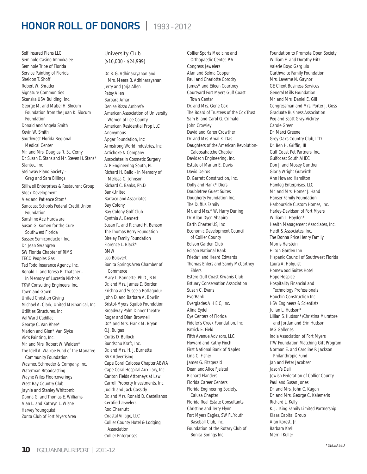Self Insured Plans LLC Seminole Casino Immokalee Seminole Tribe of Florida Service Painting of Florida Sheldon T. Shoff Robert W. Shrader Signature Communities Skanska USA Building, Inc. George M. and Mabel H. Slocum Foundation from the Joan K. Slocum Foundation Donald and Angela Smith Kevin W. Smith Southwest Florida Regional Medical Center Mr. and Mrs. Douglas R. St. Cerny Dr. Susan E. Stans and Mr. Steven H. Stans\* Stantec, Inc Steinway Piano Society – Greg and Sara Billings Stillwell Enterprises & Restaurant Group Stock Development Alex and Patience Stom\* Suncoast Schools Federal Credit Union Foundation Sunshine Ace Hardware Susan G. Komen for the Cure Southwest Florida Sussex Semiconductor, Inc. Dr. Jean Swangren SW Florida Chapter of RIMS TECO Peoples Gas Ted Todd Insurance Agency, Inc. Ronald L. and Teresa R. Thatcher - In Memory of Lucretia Nichols TKW Consulting Engineers, Inc. Town and Gown United Christian Giving Michael A. Clark, United Mechanical, Inc. Utilities Structures, Inc Val Ward Cadillac George C. Van Rhee\* Marion and Glen\* Van Slyke Vic's Painting, Inc. Mr. and Mrs. Robert W. Walden\* The Idell A. Walkoe Fund of the Manatee Community Foundation Wasmer, Schroeder & Company, Inc. Waterman Broadcasting Wayne Wiles Floorcoverings West Bay Country Club Jaynie and Stanley Whitcomb Donna G. and Thomas E. Williams Alan L. and Kathryn L. Wisne Harvey Youngquist Zonta Club of Fort Myers Area

#### University Club

(\$10,000 - \$24,999)

Dr. B. G. Adhinarayanan and Mrs. Meera B. Adhinarayanan Jerry and Jorja Allen Patsy Allen Barbara Amar Denise Rizzo Ambrefe American Association of University Women of Lee County American Residential Prop LLC Anonymous Apgar Foundation, Inc Armstrong World Industries, Inc. Artichoke & Company Associates in Cosmetic Surgery ATP Engineering South, PL Richard H. Ballo - In Memory of Melissa C. Johnson Richard C. Banks, Ph.D. BankUnited Barraco and Associates Bay Colony Bay Colony Golf Club Cynthia A. Bennett Susan R. and Richard H. Benson The Thomas Berry Foundation Bireley Family Foundation Florence L. Black\* BMW Leo Boisvert Bonita Springs Area Chamber of Commerce Mary L. Bonnette, Ph.D., R.N. Dr. and Mrs. James D. Borden Krishna and Suseela Botlagudur John D. and Barbara A. Bowlin Bristol-Myers Squibb Foundation Broadway Palm Dinner Theatre Roger and Dian Brownell Dr.\* and Mrs. Frank M. Bryan O.J. Buigas Curtis D. Bullock Bundschu Kraft, Inc. Dr. and Mrs. H. J. Burnette BVK Advertising Cape Coral Caloosa Chapter ABWA Cape Coral Hospital Auxiliary, Inc. Carlton Fields Attorneys at Law Carroll Property Investments, Inc. Judith and Jack Cassidy Dr. and Mrs. Ronald D. Castellanos Certified Jewelers Rod Chesnutt Coastal Village, LLC Collier County Hotel & Lodging Association Collier Enterprises

Collier Sports Medicine and Orthopaedic Center, P.A. Congress Jewelers Alan and Selma Cooper Paul and Charlotte Corddry James\* and Eileen Courtney Courtyard Fort Myers Gulf Coast Town Center Dr. and Mrs. Gene Cox The Board of Trustees of the Cox Trust Sam B. and Carol G. Crimaldi John Crowley David and Karen Crowther Dr. and Mrs. Amal K. Das Daughters of the American Revolution- Caloosahatche Chapter Davidson Engineering, Inc. Estate of Marian E. Davis David Deiros D. Garrett Construction, Inc. Dolly and Hank\* Diers Doubletree Guest Suites Dougherty Foundation Inc. The Duffus Family Mr. and Mrs.\* W. Harry Durling Dr. Allan Dyen-Shapiro Earth Charter US, Inc Economic Development Council of Collier County Edison Garden Club Edison National Bank Frieda\* and Heard Edwards Thomas Ehlers and Sandy McCartney Ehlers Estero Gulf Coast Kiwanis Club Estuary Conservation Association Susan C. Evans EverBank Everglades A H E C, Inc. Alina Eydel Eye Centers of Florida Fiddler's Creek Foundation, Inc Patrick E. Field Fifth Avenue Advisors, LLC Howard and Kathy Finch First National Bank of Naples Lina C. Fisher James G. Fitzgerald Dean and Alice Fjelstul Richard Flanders Florida Career Centers Florida Engineering Society, Calusa Chapter Florida Real Estate Consultants Christine and Terry Flynn Fort Myers Eagles, SW FL Youth Baseball Club, Inc. Foundation of the Rotary Club of Bonita Springs Inc.

Foundation to Promote Open Society William E. and Dorothy Fritz Valerie Boyd Gargiulo Garthwaite Family Foundation Mrs. Laverne N. Gaynor GE Client Business Services General Mills Foundation Mr. and Mrs. Daniel E. Gill Congressman and Mrs. Porter J. Goss Graduate Business Association Peg and Scott Gray-Vickrey Carole Green Dr. Marci Greene Grey Oaks Country Club, LTD Dr. Ben H. Griffin, III Gulf Coast Pet Partners, Inc. Gulfcoast South AHEC Don J. and Mosey Gunther Gloria Wright Gutwirth Ann Howard Hamilton Hamleg Enterprises, LLC Mr. and Mrs. Homer J. Hand Hanser Family Foundation Harbourside Custom Homes, Inc. Harley-Davidson of Fort Myers William L. Hayden\* Health Management Associates, Inc. Heidt & Associates, Inc. The Donna Price Henry Family Morris Herstein Hilton Garden Inn Hispanic Council of Southwest Florida Laura A. Holquist Homewood Suites Hotel Hope Hospice Hospitality Financial and Technology Professionals Houchin Construction Inc. HSA Engineers & Scientists Julian L. Hudson\* Lillian S. Hudson\*/Christina Muratore and Jordan and Erin Hudson IAG Galleries India Association of Fort Myers ITW Foundation Matching Gift Program Norman E. and Caroline P. Jackson Philanthropic Fund Jan and Peter Jacobsen Jason's Deli Jewish Federation of Collier County Paul and Susan Jones Dr. and Mrs. John C. Kagan Dr. and Mrs. George C. Kalemeris Richard L. Kelly K. J. King Family Limited Partnership Klaas Capital Group Alan Korest, Jr. Barbara Krell Merrill Kuller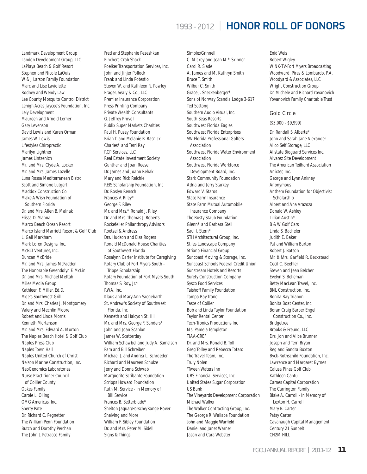Landmark Development Group Landon Development Group, LLC LaPlaya Beach & Golf Resort Stephen and Nicole LaQuis W & J Larson Family Foundation Marc and Lise Laviolette Rodney and Wendy Law Lee County Mosquito Control District Lehigh Acres Jaycee's Foundation, Inc. Lely Development Maureen and Arnold Lerner Gary Levenson David Lewis and Karen Orman James W. Lewis Lifestyles Chiropractic Marilyn Lightner James Lintzenich Mr. and Mrs. Clyde A. Locker Mr. and Mrs. James Lozelle Luna Rossa Mediterranean Bistro Scott and Simone Lutgert Maddox Construction Co Make A Wish Foundation of Southern Florida Dr. and Mrs. Allen B. Malnak Elissa D. Manna Marco Beach Ocean Resort Marco Island Marriott Resort & Golf Club L. Gail Markham Mark Loren Designs, Inc. McBLT Ventures, Inc. Duncan McBride Mr. and Mrs. James McFadden The Honorable Gwendolyn F. McLin Dr. and Mrs. Michael Meftah Miles Media Group Kathleen F. Miller, Ed.D. Moe's Southwest Grill Dr. and Mrs. Charles J. Montgomery Valery and Mechlin Moore Robert and Linda Morris Kenneth Mortenson Mr. and Mrs. Edward A. Morton The Naples Beach Hotel & Golf Club Naples Press Club Naples Town Hall Naples United Church of Christ Nelson Marine Construction, Inc. NeoGenomics Laboratories Nurse Practitioner Council of Collier County Oakes Family Carole L. Olling OMG Americas, Inc. Sherry Pate Dr. Richard C. Pegnetter The William Penn Foundation Butch and Dorothy Perchan The John J. Petracco Family

Fred and Stephanie Pezeshkan Pinchers Crab Shack Poelker Transportation Services, Inc. John and Jinjer Pollock Frank and Linda Potestio Steven W. and Kathleen R. Powley Prager, Sealy & Co., LLC Premier Insurance Corporation Press Printing Company Private Wealth Consultants G. Jeffrey Provol Publix Super Markets Charities Paul H. Pusey Foundation Brian T. and Melanie B. Rasnick Charles\* and Terri Ray RCP Services, LLC Real Estate Investment Society Gunther and Joan Reese Dr. James and Joann Rehak Mary and Rick Reichle REIS Scholarship Foundation, Inc Dr. Roslyn Rensch Frances V. Riley\* George F. Riley Mr. and Mrs.\* Ronald J. Riley Dr. and Mrs. Thomas J. Roberts Rockefeller Philanthropy Advisors Roetzel & Andress Drs. Hudson and Elsa Rogers Ronald McDonald House Charities of Southwest Florida Rosalynn Carter Institute for Caregiving Rotary Club of Fort Myers South - Trippe Scholarship Rotary Foundation of Fort Myers South Thomas S. Roy, Jr.\* RWA, Inc. Klaus and Mary Ann Saegebarth St. Andrew's Society of Southwest Florida, Inc Kenneth and Halcyon St. Hill Mr. and Mrs. George F. Sanders\* John and Joan Scanlon James W. Scatterday William Schawbel and Judy A. Samelson Pam and Bill Schreiber Michael J. and Andrea L. Schroeder Richard and Maureen Schulze Jerry and Donna Schwab Marguerite Scribante Foundation Scripps Howard Foundation Ruth M. Service - In Memory of Bill Service Frances B. Setterblade\* Shelton Jaguar/Porsche/Range Rover Shelving and More William F. Sibley Foundation Dr. and Mrs. Peter M. Sidell Signs & Things

SimplexGrinnell C. Mickey and Jean M.\* Skinner Carol R. Slade A. James and M. Kathryn Smith Bruce T. Smith Wilbur C. Smith Grace J. Sneckenberger\* Sons of Norway Scandia Lodge 3-617 Ted Sottong Southern Audio Visual, Inc. South Seas Resorts Southwest Florida Eagles Southwest Florida Enterprises SW Florida Professional Golfers Association Southwest Florida Water Environment Association Southwest Florida Workforce Development Board, Inc. Stark Community Foundation Adria and Jerry Starkey Edward V. Staros State Farm Insurance State Farm Mutual Automobile Insurance Company The Rusty Staub Foundation Glenn\* and Barbara Steil Saul I. Stern\* STH Architectural Group, Inc. Stiles Landscape Company Striano Financial Group Suncoast Moving & Storage, Inc. Suncoast Schools Federal Credit Union Sunstream Hotels and Resorts Surety Construction Company Sysco Food Services Taishoff Family Foundation Tampa Bay Trane Taste of Collier Bob and Linda Taylor Foundation Taylor Rental Center Tech-Tronics Productions Inc Ms. Pamela Templeton TIAA-CREF Dr. and Mrs. Ronald B. Toll Greg Tolley and Rebecca Totaro The Travel Team, Inc. Truly Nolen 'Tween Waters Inn UBS Financial Services, Inc. United States Sugar Corporation US Bank The Vineyards Development Corporation Michael Walker The Walker Contracting Group, Inc. The George R. Wallace Foundation John and Maggie Warfield Daniel and Janet Warner Jason and Cara Webster

Enid Weis Robert Wigley WINK-TV-Fort Myers Broadcasting Woodward, Pires & Lombardo, P.A. Woodyard & Associates, LLC Wright Construction Group Dr. Michele and Richard Yovanovich Yovanovich Family Charitable Trust

#### Gold Circle

(\$5,000 - \$9,999)

Dr. Randall S. Alberte\* John and Sarah Jane Alexander Alico Self Storage, LLC Allstate Bioguard Services Inc. Alvarez Site Development The American Teilhard Association Anixter, Inc. George and Lynn Ankney Anonymous Anthem Foundation for Objectivist **Scholarship** Albert and Ana Arazoza Donald W. Ashley Lillian Austin\* B & W Golf Cars Linda S. Bacheler Judith E. Baker Pat and William Barton Robert J. Batson Mr. & Mrs. Garfield R. Beckstead Cecil C. Beehler Steven and Jean Belcher Evelyn S. Belleman Betty MacLean Travel, Inc. BNL Construction, Inc. Bonita Bay Trianon Bonita Boat Center, Inc. Boran Craig Barber Engel Construction Co., Inc. Bridgetree Brooks & Freund, LLC Drs. Jon and Alice Brunner Joseph and Terri Bryan Reg and Sandra Buxton Byck-Rothschild Foundation, Inc. Lawrence and Margaret Byrnes Calusa Pines Golf Club Kathleen Cantu Carnes Capital Corporation The Carrington Family Blake A. Carroll - In Memory of Lexton H. Carroll Mary B. Carter Patsy Carter Cavanaugh Capital Management Century 21 Sunbelt CH2M HILL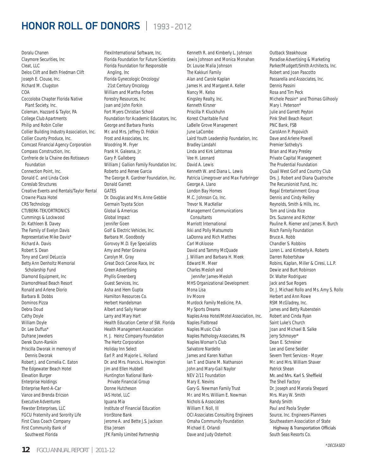Doralu Chanen Claymore Securities, Inc Cleat, LLC Delos Clift and Beth Friedman Clift Joseph E. Clouse, Inc. Richard M. Clugston COA Coccoloba Chapter Florida Native Plant Society, Inc. Coleman, Hazzard & Taylor, PA College Club Apartments Philip and Robin Coller Collier Building Industry Association, Inc. Collier County Produce, Inc. Comcast Financial Agency Corporation Compass Construction, Inc. Confrerie de la Chaine des Rotisseurs Foundation Connection Point, Inc. Donald C. and Linda Cook Coreslab Structures Creative Events and Rentals/Taylor Rental Crowne Plaza Hotel CRS Technology CTI/BERK-TEK/ORTRONICS Cummings & Lockwood Dr. Kathleen B. Davey The Family of Evelyn Davis Representative Mike Davis\* Richard A. Davis Robert S. Dean Tony and Carol DeLuccia Betty Ann Denholtz Memorial Scholarship Fund Diamond Equipment, Inc DiamondHead Beach Resort Ronald and Arlene Diorio Barbara B. Dobbs Dominos Pizza Debra Doud Cathy Doyle William Doyle Dr. Lee Duffus\* Dufrane Jewelers Derek Dunn-Rankin Priscilla Dworak in memory of Dennis Dworak Robert J. and Cornelia C. Eaton The Edgewater Beach Hotel Elevation Burger Enterprise Holdings Enterprise Rent-A-Car Vance and Brenda Ericson Executive Adventures Fewster Enterprises, LLC FGCU Fraternity and Sorority Life First Class Coach Company First Community Bank of Southwest Florida

FlexiInternational Software, Inc. Florida Foundation for Future Scientists Florida Foundation for Responsible Angling, Inc Florida Gynecologic Oncology/ 21st Century Oncology William and Martha Forbes Forestry Resources, Inc Joan and John Forkin Fort Myers Christian School Foundation for Academic Educators, Inc. George and Barbara Franks Mr. and Mrs. Jeffrey D. Fridkin Frost and Associates, Inc. Woodring M. Fryer Frank H. Galeana, Jr. Gary P. Galleberg William J Gallion Family Foundation Inc. Roberto and Renee Garcia The George R. Gardner Foundation, Inc. Donald Garrett **GATES** Dr. Douglas and Mrs. Anne Gebbie Germain Toyota Scion Global & Americas Global Impact Jennifer Goen Golf & Electric Vehicles, Inc. Barbara M. Goodbody Gorovoy M.D. Eye Specialists Amy and Peter Gravina Carolyn M. Gray Great Dock Canoe Race, Inc Green Advertising Phyllis Greenberg Guest Services, Inc. Asha and Hem Gupta Hamilton Resources Co. Herbert Handelsman Albert and Sally Hanser Larry and Mary Hart Health Education Center of SW. Florida Health Management Association H. J. Heinz Company Foundation The Hertz Corporation Holiday Inn Select Earl P. and Majorie L. Holland Dr. and Mrs. Francis L. Howington Jim and Ellen Hubbell Huntington National Bank- Private Financial Group Donne Hutcheson IAS Hotel, LLC Iguana Mia Institute of Financial Education IronStone Bank Jerome A. and Bette J.S. Jackson Elsa Jensen JFK Family Limited Partnership

Kenneth R. and Kimberly L. Johnson Lewis Johnson and Monica Monahan Dr. Louise Malia Johnson The Kakkuri Family Alan and Carole Kaplan James H. and Margaret A. Keller Nancy M. Kelso Kingsley Realty, Inc. Kenneth Kirsner Priscilla P. Kluckhuhn Korest Charitable Fund LaBelle Grove Management June LaCombe Laird Youth Leadership Foundation, Inc. Bradley Landahl Linda and Kirk Lehtomaa Vee H. Leonard David A. Lewis Kenneth W. and Diana L. Lewis Patricia Limegrover and Max Furbringer George A. Llano London Bay Homes M.C. Johnson Co, Inc. Trevor N. MacKellar Management Communications **Consultants** Marriott International Ikki and Polly Matsumoto LaDonna and Rich Matthes Carl McAloose David and Tammy McQuade J. William and Barbara H. Meek Edward M. Meer Charles Mesloh and Jennifer James-Mesloh MHS Organizational Development Mona Lisa Irv Moore Murdock Family Medicine, P.A. My Sports Dreams Naples Area Hotel/Motel Association, Inc. Naples Flatbread Naples Music Club Naples Pathology Associates, PA Naples Woman's Club Salvatore Nardello James and Karen Nathan Ian T. and Diane M. Nathanson John and Mary-Gail Naylor NEV 2/11 Foundation Mary E. Nevins Gary G. Newman Family Trust Mr. and Mrs. William E. Newman Nichols & Associates William F. Noll, III OCI Associates Consulting Engineers Omaha Community Foundation Michael E. Orlandi Dave and Judy Osterholt

Outback Steakhouse Paradise Advertising & Marketing Parker/Mudgett/Smith Architects, Inc. Robert and Joan Pascotto Passarella and Associates, Inc. Dennis Passini Rosa and Tim Peck Michele Pessin\* and Thomas Gilhooly Mary I. Peterson\* Julie and Garrett Peyton Pink Shell Beach Resort PNC Bank, FSB CarolAnn P. Popovich Dave and Arlene Powell Premier Sotheby's Brian and Mary Presley Private Capital Management The Prudential Foundation Quail West Golf and Country Club Drs. J. Robert and Diana Quatroche The Recursionist Fund, Inc. Regal Entertainment Group Dennis and Cindy Reilley Reynolds, Smith & Hills, Inc. Tom and Linda Rice Drs. Suzanne and Richter Pauline R. Riemer and James R. Burch Risch Family Foundation Bruce A. Robb Chandler S. Robbins Loren L. and Kimberly A. Roberts Darren Robertshaw Robins, Kaplan, Miller & Ciresi, L.L.P. Dewie and Burt Robinson Dr. Walter Rodriguez Jack and Sue Rogers Dr. J. Michael Rollo and Ms. Amy S. Rollo Herbert and Ann Rowe RSM McGladrey, Inc. James and Betty Rubenstein Robert and Cinda Ryan Saint Luke's Church Joan and Michael B. Salke Jerry Schmoyer\* Dean E. Schreiner Lee and Gene Seidler Severn Trent Services - Moyer Mr. and Mrs. William Shaver Patrick Shean Mr. and Mrs. Karl S. Sheffield The Shell Factory Dr. Joseph and Marcela Shepard Mrs. Mary W. Smith Randy Smith Paul and Paola Snyder Source, Inc. Engineers-Planners Southeastern Association of State Highway & Transportation Officials South Seas Resorts Co.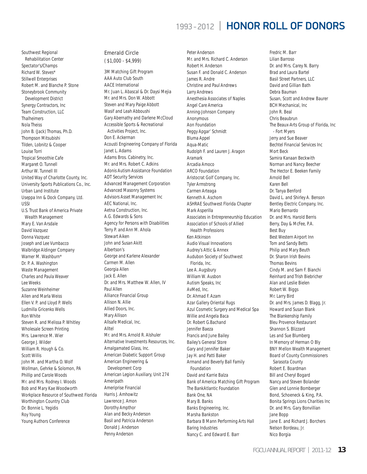Southwest Regional Rehabilitation Center Spectator's/Champs Richard W. Steves\* Stillwell Enterprises Robert M. and Blanche P. Stone Stoneybrook Community Development District Synergy Contractors, Inc Team Construction, LLC **Thalheimers** Nola Theiss John B. (Jack) Thomas, Ph.D. Thompson Mitsubishi Tilden, Lobnitz & Cooper Louise Torri Tropical Smoothie Cafe Margaret O. Tunnell Arthur W. Tunnell III United Way of Charlotte County, Inc. University Sports Publications Co., Inc. Urban Land Institute Useppa Inn & Dock Company, Ltd. USSI U.S. Trust Bank of America Private Wealth Management Mary E. Van Arsdale David Vazquez Donna Vazquez Joseph and Lee Vumbacco Walbridge Aldinger Company Warner M. Washburn\* Dr. P. A. Washington Waste Management Charles and Paula Weaver Lee Weeks Suzanne Weinheimer Allen and Marla Weiss Ellen V. P. and Lloyd P. Wells Ludmilla Gricenko Wells Ron White Steven R. and Melissa P. Whitley Wholesale Screen Printing Mrs. Lawrence M. Wier George J. Wilder William R. Hough & Co. Scott Willis John M. and Martha O. Wolf Wollman, Gehrke & Solomon, PA Phillip and Carole Woods Mr. and Mrs. Rodney I. Woods Bob and Mary Kae Woodworth Workplace Resource of Southwest Florida Worthington Country Club Dr. Bonnie L. Yegidis Roy Young Young Authors Conference

### Emerald Circle

( \$1,000 - \$4,999)

3M Matching Gift Program AAA Auto Club South AACE International Mr. Juan L. Abascal & Dr. Daysi Mejia Mr. and Mrs. Don W. Abbott Steven and Mary Paige Abbott Wasif and Leah Abboushi Gary Abernathy and Darlene McCloud Accessible Sports & Recreational Activities Project, Inc. Don E. Ackerman Acousti Engineering Company of Florida Janet L. Adams Adams Bros. Cabinetry, Inc. Mr. and Mrs. Robert C. Adkins Adonis Autism Assistance Foundation ADT Security Services Advanced Management Corporation Advanced Masonry Systems Advisors Asset Management Inc AEC National, Inc. Aetna Construction, Inc. A.G. Edwards & Sons Agency for Persons with Disabilities Terry P. and Ann M. Ahola Stewart Aiken John and Susan Akitt Albertson's George and Karlene Alexander Carmen M. Allen Georgia Allen Jack E. Allen Dr. and Mrs. Matthew W. Allen, IV Paul Allen Alliance Financial Group Allison N. Allie Allied Doors, Inc. Mary Allison Allsafe Medical, Inc. Alltel Mr. and Mrs. Arnold R. Alshuler Alternative Investments Resources, Inc. Amalgamated Glass, Inc. American Diabetic Support Group American Engineering & Development Corp American Legion Auxiliary, Unit 274 Ameripath Ameriprise Financial Harris J. Amhowitz Lawrence J. Amon Dorothy Ampthor Alan and Becky Anderson Basil and Patricia Anderson Donald J. Anderson Penny Anderson

Peter Anderson Mr. and Mrs. Richard C. Anderson Robert H. Anderson Susan F. and Donald C. Anderson James R. Andre Christine and Paul Andrews Larry Andrews Anesthesia Associates of Naples Angel Care America Anning-Johnson Company Anonymous Aon Foundation Peggy Apgar' Schmidt Bluma Appel Aqua-Matic Rudolph F. and Lauren J. Aragon Aramark Arcadia Amoco ARCO Foundation Aristocrat Golf Company, Inc. Tyler Armstrong Carmen Arteaga Kenneth A. Aschom ASHRAE Southwest Florida Chapter Mark Asperilla Associates in Entrepreneurship Education Association of Schools of Allied Health Professions Ken Atkinson Audio Visual Innovations Audrey's Attic & Annex Audubon Society of Southwest Florida, Inc. Lee A. Augsbury William W. Ausbon Autism Speaks, Inc AvMed, Inc. Dr. Ahmad F. Azam Azar Gallery Oriental Rugs Azul Cosmetic Surgery and Medical Spa Willie and Angela Baca Dr. Robert G.Bachand Jennifer Baeza Francis and June Bailey Bailey's General Store Gary and Jennifer Baker Jay H. and Patti Baker Armand and Beverly Ball Family Foundation David and Karrie Balza Bank of America Matching Gift Program The BankAtlantic Foundation Bank One, NA Mary B. Banks Banks Engineering, Inc. Marsha Bankston Barbara B Mann Performing Arts Hall Baring Industries Nancy C. and Edward E. Barr

Fredric M. Barr Lilian Barroso Dr. and Mrs. Carey N. Barry Brad and Laura Bartel Basil Street Partners, LLC David and Gillian Bath Debra Bauman Susan, Scott and Andrew Baurer BCH Mechanical, Inc John R. Beal Chris Beaubrun The Beaux-Arts Group of Florida, Inc - Fort Myers Jerry and Sue Beaver Bechtel Financial Services Inc Mort Beck Samira Kanaan Beckwith Norman and Nancy Beecher The Hector E. Beeken Family Arnold Bell Karen Bell Dr. Tanya Benford David L. and Shirley A. Benson Bentley Electric Company, Inc. Mario Bernardo Dr. and Mrs. Harold Berris Berry, Day & McFee, P.A. Best Buy Best Western Airport Inn Tom and Sandy Betts Philip and Mary Beuth Dr. Sharon Irish Bevins Thomas Bevins Cindy M. and Sam F. Bianchi Reinhard and Trish Biebricher Alan and Leslie Bielen Robert W. Biggs Mr. Larry Bird Dr. and Mrs. James D. Blagg, Jr. Howard and Susan Blank The Blankenship Family Bleu Provence Restaurant Shannon S. Blizzard Les and Sue Blumberg In Memory of Herman O Bly BNY Mellon Wealth Management Board of County Commissioners Sarasota County Robert E. Boardman Bill and Cheryl Bogard Nancy and Steven Bolander Glen and Lonnie Bomberger Bond, Schoeneck & King, P.A. Bonita Springs Lions Charities Inc Dr. and Mrs. Gary Bonvillian Jane Bopp Jane E. and Richard J. Borchers Nelson Bordeau, Jr. Nico Borgia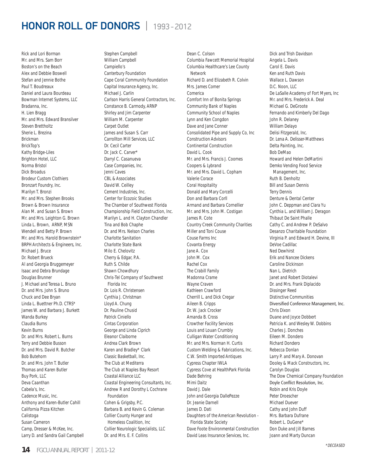Rick and Lori Borman Mr. and Mrs. Sam Borr Boston's on the Beach Alex and Debbie Boswell Stefan and Jennie Bothe Paul T. Boudreaux Daniel and Laura Bourdeau Bowman Internet Systems, LLC Bradanna, Inc. H. Lien Bragg Mr. and Mrs. Edward Bransilver Steven Brettholtz Sherie L. Brezina Brickman BrickTop's Kathy Bridge-Liles Brighton Hotel, LLC Norma Bristol Dick Broadus Brodeur Custom Clothiers Bronzart Foundry, Inc. Marilyn T. Bronzi Mr. and Mrs. Stephen Brooks Brown & Brown Insurance Alan M. and Susan S. Brown Mr. and Mrs. Leighton G. Brown Linda L. Brown, ARNP, MSN Wendell and Betty P. Brown Mr. and Mrs. Harold Brownstein\* BRPH Architects & Engineers, Inc. Michael J. Bruce Dr. Robert Brueck Al and Georgia Bruggemeyer Isaac and Debra Brundage Douglas Brunner J. Michael and Teresa L. Bruno Dr. and Mrs. John S. Bruno Chuck and Dee Bryan Linda L. Buettner Ph.D. CTRS\* James W. and Barbara J. Burkett Wanda Burkey Claudia Burns Kevin Burns Dr. and Mrs. Robert L. Burns Terry and Debbie Busson Dr. and Mrs. David R. Butcher Bob Butehorn Dr. and Mrs. John T. Butler Thomas and Karen Butler Buy Pork, LLC Deva Caanthan Cabela's, Inc. Cadence Music, Inc. Anthony and Karen-Butler Cahill California Pizza Kitchen Calistoga Susan Cameron Camp, Dresser & McKee, Inc. Larry D. and Sandra Gail Campbell

Stephen Campbell William Campbell Campiello's Canterbury Foundation Cape Coral Community Foundation Capital Insurance Agency, Inc. Michael J. Carlin Carlson Harris General Contractors, Inc. Constance B. Carmody, ARNP Shirley and Jim Carpenter William M. Carpenter Carpet Outlet James and Susan S. Carr Carrollton Mill Services, LLC Dr. Cecil Carter Dr. Jack C. Carver\* Darryl C. Casanueva Case Companies, Inc. Jenni Caves CBL & Associates David W. Ceilley Cement Industries, Inc. Center for Ecozoic Studies The Chamber of Southwest Florida Championship Field Construction, Inc. Marilyn L. and H. Clayton Chandler Tina and Bob Chaphe Dr. and Mrs. Nelson Charles Charlotte Sanitation Charlotte State Bank Milo E. Chelovitz Cherry & Edgar, P.A. Ruth S. Childe Shawn Chowdhury Chris-Tel Company of Southwest Florida Inc Dr. Lois R. Christensen Cynthia J. Christman Lloyd A. Chung Dr. Pauline Chusid Patrick Ciniello Cintas Corporation George and Linda Ciprich Eleanor Claiborne Andrea Clark Brown Karen and Bradley\* Clark Classic Basketball, Inc. The Club at Mediterra The Club at Naples Bay Resort Coastal Alliance LLC Coastal Engineering Consultants, Inc. Andrew R and Dorothy L Cochrane Foundation Cohen & Grigsby, P.C. Barbara B. and Kevin G. Coleman Collier County Hunger and Homeless Coalition, Inc Collier Neurologic Specialists, LLC Dr. and Mrs. E. F. Collins

Dean C. Colson Columbia Fawcett Memorial Hospital Columbia Healthcare's Lee County Network Richard D. and Elizabeth R. Colvin Mrs. James Comer Comerica Comfort Inn of Bonita Springs Community Bank of Naples Community School of Naples Lynn and Ken Congdon Dave and Jane Conner Consolidated Pipe and Supply Co, Inc Construction Advisors Continental Construction David L. Cook Mr. and Mrs. Francis J. Coomes Coopers & Lybrand Mr. and Mrs. David L. Copham Valerie Corace Coral Hospitality Donald and Mary Corcelli Don and Barbara Corll Armand and Barbara Cornellier Mr. and Mrs. John M. Costigan James R. Cote Country Creek Community Charities Miller and Toni Couse Couse Farms Inc Covanta Energy Jane A. Cox John M. Cox Rachel Cox The Crabill Family Madonna Crame Wayne Craven Kathleen Crawford Cherrill L. and Dick Cregar Aileen B. Cripps Dr. W. Jack Crocker Amanda B. Cross Crowther Facility Services Louis and Louan Crumbly Culligan Water Conditioning Mr. and Mrs. Norman H. Curtis Custom Welding & Fabrications, Inc. C.W. Smith Imported Antiques Cypress Chapter IWLA Cypress Cove at HealthPark Florida Dade Behring Mimi Daitz David J. Dale John and Georgia DallePezze Dr. Jeanie Darnell James D. Dati Daughters of the American Revolution - Florida State Society Dave Foote Environmental Construction David Leas Insurance Services, Inc.

Dick and Trish Davidson Angela L. Davis Carol E. Davis Ken and Ruth Davis Wallace L. Dawson D.C. Noon, LLC De LaSalle Academy of Fort Myers, Inc Mr. and Mrs. Frederick A. Deal Michael G. DeGroote Fernando and Kimberly Del Dago John R. Delaney William Delayo Delisi Fitzgerald, Inc. Dr. Lena A. Delisser-Matthews Delta Painting, Inc. Bob DeMao Howard and Helen DeMartini Demko Vending Food Service Management, Inc. Ruth B. Denholtz Bill and Susan Dennis Terry Dennis Denture & Dental Center John C. Deppman and Clara Yu Cynthia L. and William J. Deragon Thibaut De Saint Phalle Cathy C. and Andrew P. DeSalvo Desanzo Charitable Foundation Virginia P. and Edward H. Devine, III DeVoe Cadillac Ned Dewhirst Erik and Nancee Dickens Caroline Dickinson Nan L. Dietrich Janet and Robert Diotalevi Dr. and Mrs. Frank Diplacido Dissinger Reed Distinctive Communities Diversified Conference Management, Inc. Chris Dixon Duane and Joyce Dobbert Patricia K. and Wesley W. Dobbins Charles J. Donches Eileen M. Dondero Richard Dondero Rebecca Donlan Larry P. and Mary A. Donovan Dooley & Mack Constructors, Inc. Carolyn Douglas The Dow Chemical Company Foundation Doyle Conflict Resolution, Inc. Robin and Kris Doyle Peter Droescher Michael Duever Cathy and John Duff Mrs. Barbara Dufrane Robert L. DuGene\* Don Duke and Jill Barnes Joann and Marty Duncan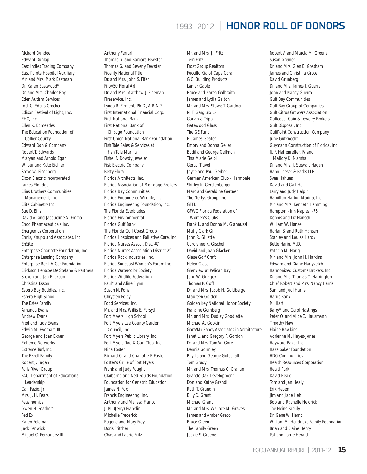Richard Dundee Edward Dunlap East Indies Trading Company East Pointe Hospital Auxiliary Mr. and Mrs. Mark Eastman Dr. Karen Eastwood\* Dr. and Mrs. Charles Eby Eden Autism Services Jodi C. Edens-Crocker Edison Festival of Light, Inc. EHC, Inc. Ellen K. Edmeades The Education Foundation of Collier County Edward Don & Company Robert T. Edwards Maryan and Arnold Egan Wilbur and Kate Eichler Steve W. Eisenberg Elcon Electric Incorporated James Eldridge Elias Brothers Communities Management, Inc Elite Cabinetry Inc. Sue D. Ellis David A. and Jacqueline A. Emma Endo Pharmaceuticals Inc. Energenics Corporation Ennis, Knupp and Associates, Inc EnSite Enterprise Charlotte Foundation, Inc. Enterprise Leasing Company Enterprise Rent-A-Car Foundation Erickson Herscoe De Stefano & Partners Steven and Jan Erickson Christina Esson Estero Bay Buddies, Inc. Estero High School The Estes Family Amanda Evans Andrew Evans Fred and Judy Evans Edwin M. Everham III George and Joan Exner Extreme Networks Extreme Turf, Inc. The Ezzell Family Robert J. Fagan Falls River Group FAU, Department of Educational Leadership Carl Fazio, Jr Mrs. J. H. Fears Feasinomics Gwen H. Feather\* Fed Ex Karen Feldman Jack Fenwick Miguel C. Fernandez III

Anthony Ferrari Thomas G. and Barbara Fewster Thomas G. and Beverly Fewster Fidelity National Title Dr. and Mrs. John S. Fifer Fifty/50 Floral Art Dr. and Mrs. Matthew J. Fineman Fireservice, Inc. Lynda R. Firment, Ph.D., A.R.N.P. First International Financial Corp. First National Bank First National Bank of Chicago Foundation First Union National Bank Foundation Fish Tale Sales & Services at Fish Tale Marina Fishel & Dowdy Jeweler Fisk Electric Company Betty Flora Florida Architects, Inc. Florida Association of Mortgage Brokers Florida Bay Communities Florida Endangered Wildlife, Inc. Florida Engineering Foundation, Inc. The Florida Everblades Florida Environmental Florida Gulf Bank The Florida Gulf Coast Group Florida Hospices and Palliative Care, Inc. Florida Nurses Assoc., Dist. #7 Florida Nurses Association District 29 Florida Rock Industries, Inc. Florida Suncoast Women's Forum Inc Florida Watercolor Society Florida Wildlife Federation Paul\* and Aline Flynn Susan N. Fohs Chrysten Foley Food Services, Inc. Mr. and Mrs. Willis E. Forsyth Fort Myers High School Fort Myers Lee County Garden Council, Inc. Fort Myers Public Library, Inc. Fort Myers Rod & Gun Club, Inc. Nina Foster Richard G. and Charlotte F. Foster Foster's Grille of Fort Myers Frank and Judy Fought Claiborne and Ned Foulds Foundation Foundation for Geriatric Education James N. Fox Francis Engineering, Inc. Anthony and Melissa Franco J. M. (Jerry) Franklin Michelle Frederick Eugene and Mary Frey Doris Fritcher Chas and Laurie Fritz

Mr. and Mrs. J. Fritz Terri Fritz Frost Group Realtors Fuccillo Kia of Cape Coral G.C. Building Products Lamar Gable Bruce and Karen Galbraith James and Lydia Galton Mr. and Mrs. Stowe T. Gardner N. T. Gargiulo LP Garvin & Tripp Gatewood Glass The GE Fund E. James Geater Emory and Donna Geller Bodil and George Gellman Tina Marie Gelpi Geraci Travel Joyce and Paul Gerber German American Club - Harmonie Shirley K. Gerstenberger Marc and Geraldine Gertner The Gettys Group, Inc. **GFFL** GFWC Florida Federation of Women's Clubs Frank L. and Donna M. Giannuzzi Muffy Clark Gill John R. Gillette Carolynne K. Gischel David and Joan Glacken Glase Golf Craft Helen Glass Glenview at Pelican Bay John W. Gnagey Thomas P. Goff Dr. and Mrs. Jacob H. Goldberger Maureen Golden Golden Key National Honor Society Francine Gomberg Mr. and Mrs. Dudley Goodlette Michael A. Gookin Gora/McGahey Associates in Architecture Janet L. and Gregory F. Gordon Dr. and Mrs. Tom W. Gore Dennis Gormley Phyllis and George Gotschall Tom Grady Mr. and Mrs. Thomas C. Graham Grande Oak Development Don and Kathy Grandi Ruth T. Grandin Billy D. Grant Michael Grant Mr. and Mrs. Wallace M. Graves James and Amber Greco Bruce Green The Family Green Jackie S. Greene

Robert V. and Marcia M. Greene Susan Greiner Dr. and Mrs. Glen E. Gresham James and Christina Grote David Grunberg Dr. and Mrs. James J. Guerra John and Nancy Guerra Gulf Bay Communities Gulf Bay Group of Companies Gulf Citrus Growers Association Gulfcoast Coin & Jewelry Brokers Gulf Disposal, Inc. GulfPoint Construction Company June Gutknecht Guymann Construction of Florida, Inc. R. F. Haffenreffer, IV and Mallory K. Marshall Dr. and Mrs. J. Stewart Hagen Hahn Loeser & Parks LLP Sven Hahues David and Gail Hall Larry and Judy Halpin Hamilton Harbor Marina, Inc. Mr. and Mrs. Kenneth Hamming Hampton - Inn Naples I-75 Dennis and Liz Hansch William W. Hansell Harlan S. and Ruth Hansen Stanley and Louise Hardy Bette Harig, M.D. Patricia M. Harig Mr. and Mrs. John H. Harkins Edward and Diane Harlyvetch Harmonized Customs Brokers, Inc. Dr. and Mrs. Thomas C. Harrington Chief Robert and Mrs. Nancy Harris Sam and Judi Harris Harris Bank M. Hart Barry\* and Carol Hastings Peter O. and Alice E. Hausmann Timothy Haw Elaine Hawkins Adrienne M. Hayes-Jones Hayward Baker Inc. Hazelbaker Foundation HDG Communities Health Resources Corporation HealthPark David Heald Tom and Jan Healy Erik Heben Jim and Jade Hehl Bob and Raynelle Heidrick The Heins Family Dr. Gene W. Hemp William M. Hendricks Family Foundation Brian and Elaine Henry Pat and Lorrie Herald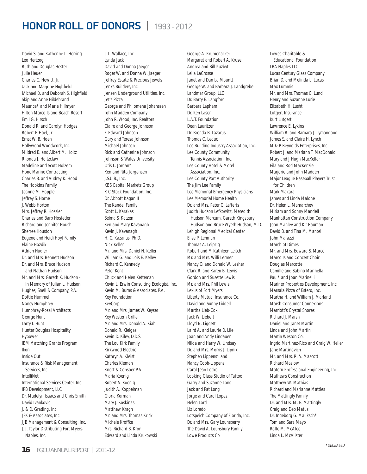David S. and Katherine L. Herring Leo Hertzog Ruth and Douglas Hester Julie Heuer Charles C. Hewitt, In. Jack and Marjorie Highfield Michael D. and Deborah S. Highfield Skip and Anne Hildebrand Maurice\* and Marie Hillmyer Hilton Marco Island Beach Resort Emil G. Hirsch Donald R. and Carolyn Hodges Robert F. Hoel, Jr. Ernst W. B. Hoen Hollywood Woodwork, Inc. Mildred B. and Albert M. Holtz Rhonda J. Holtzclaw Madeline and Scott Holzem Honc Marine Contracting Charles B. and Audrey K. Hood The Hopkins Family Jeanne M. Hopple Jeffrey S. Horne J. Webb Horton Mrs. Jeffrey R. Hossler Charles and Barb Hostetler Richard and Jennifer Housh Sherree Houston Eugene and Heidi Hoyt Family Elaine Hozdik Adrian Hudler Dr. and Mrs. Bennett Hudson Dr. and Mrs. Bruce Hudson and Nathan Hudson Mr. and Mrs. Gareth K. Hudson - In Memory of Julian L. Hudson Hughes, Snell & Company, P.A. Dottie Hummel Nancy Humphrey Humphrey-Rosal Architects George Hunt Larry I. Hunt Hunter Douglas Hospitality Hypower IBM Matching Grants Program Ikon Inside Out Insurance & Risk Management Services, Inc. IntelliNet International Services Center, Inc. IPB Development, LLC Dr. Madelyn Isaacs and Chris Smith David Ivankovic J. & D. Grading, Inc. JFK & Associates, Inc. JJB Management & Consulting, Inc. J. J. Taylor Distributing Fort Myers- Naples, Inc.

J. L. Wallace, Inc. Lynda Jack David and Donna Jaeger Roger W. and Donna W. Jaeger Jeffrey Estate & Precious Jewels Jenks Builders, Inc. Jensen Underground Utilities, Inc. Jet's Pizza George and Philomena Johanssen John Madden Company John R. Wood, Inc. Realtors Claire and George Johnson F. Edward Johnson Gary and Teresa Johnson Michael Johnson Rick and Catherine Johnson Johnson & Wales University Otis L. Jordan\* Ken and Rita Jorgensen J.S.U.B., Inc. KBS Capital Markets Group K C Stock Foundation, Inc. Dr. Abbott Kagan II The Kandel Family Scott L. Karakas Selma S. Katzen Ken and Mary Kavanagh Kevin J. Kavanagh H. C. Kazanas, Ph.D. Nick Kellen Mr. and Mrs. Daniel N. Keller William G. and Lois E. Kelley Richard C. Kennedy Peter Kent Chuck and Helen Ketteman Kevin L. Erwin Consulting Ecologist, Inc. Kevin M. Burns & Associates, P.A. Key Foundation KeyCorp Mr. and Mrs. James W. Keyser Key Western Grille Mr. and Mrs. Donald A. Kiah Donald R. Kielgas Kevin D. Kiley, D.D.S. The Lou Kirk Family Kirkwood Electric Kathryn A. Kleist Charles Kleman Knott & Consoer P.A. Maria Koenig Robert A. Koenig Judith A. Koppelman Gloria Korman Mary J. Koskinas Matthew Kragh Mr. and Mrs. Thomas Krick Michele Kroffke Mrs. Richard B. Kron Edward and Linda Krukowski

George A. Krumenacker Margaret and Robert A. Kruse Andrea and Bill Kuzbyt Leila LaCrosse Janet and Dan La Mountt George W. and Barbara J. Landgrebe Landmar Group, LLC Dr. Barry E. Langford Barbara Lapham Dr. Ken Laser L.A.T. Foundation Dean Lauritzen Dr. Brenda B. Lazarus Thomas C. Leduc Lee Building Industry Association, Inc. Lee County Community Tennis Association, Inc. Lee County Hotel & Motel Association, Inc. Lee County Port Authority The Jim Lee Family Lee Memorial Emergency Physicians Lee Memorial Home Health Dr. and Mrs. Peter C. Lefferts Judith Hudson Lefkowitz, Meredith Hudson Marcum, Gareth Kingsbury Hudson and Bruce Wyeth Hudson, M.D. Lehigh Regional Medical Center Elise P. Lehman Thomas A. Leipzig Robert and M Kathleen Leitch Mr. and Mrs. Willi Lermer Nancy O. and Donald W. Lesher Clark R. and Karen B. Lewis Gordon and Susette Lewis Mr. and Mrs. Phil Lewis Lexus of Fort Myers Liberty Mutual Insurance Co. David and Sunny Liddell Martha Lieb-Cox Jack W. Liebert Lloyd N. Liggett Laird A. and Laurie D. Lile Joan and Andy Lindauer Nilda and Harry W. Lindsay Dr. and Mrs. Morris J. Lipnik Stephen Lippens\* and Nancy Cobb-Lippens Carol Jean Locke Looking Glass Studio of Tattoo Garry and Suzanne Long Jack and Pat Long Jorge and Carol Lopez Helen Lord Liz Loredo Lotspeich Company of Florida, Inc. Dr. and Mrs. Gary Lounsberry The David A. Lounsbury Family Lowe Products Co

Lowes Charitable & Educational Foundation LRA Naples LLC Lucas Century Glass Company Brian D. and Melinda L. Lucas Max Lummis Mr. and Mrs. Thomas C. Lund Henry and Suzanne Lurie Elizabeth H. Lusht Lutgert Insurance Kurt Lutgert Lawrence E. Lykins William R. and Barbara J. Lymangood James S. and Claire H. Lynch M & P Reynolds Enterprises, Inc. Robert J. and Mariann T. MacDonald Mary and J Hugh MacKellar Eila and Rod MacKenzie Marjorie and John Madden Major League Baseball Players Trust for Children Mark Makara James and Linda Malone Dr. Helen L. Mamarchev Miriam and Sonny Mandell Manhattan Construction Company Joan Manley and Kit Bauman David B. and Tina M. Mantel John Marazzi March of Dimes Mr. and Mrs. Edward S. Marco Marco Island Concert Choir Douglas Marcotte Camille and Sabino Marinella Paul\* and Joan Marinelli Mariner Properties Development, Inc. Marsala Pizza of Estero, Inc. Martha H. and William J. Marland Marsh Consumer Connexions Marriott's Crystal Shores Richard J. Marsh Daniel and Janet Martin Linda and John Martin Martin Weston Co. Ingrid Martinez-Rico and Craig W. Heller Jane Martinovich Mr. and Mrs. R. A. Mascott Richard Maslow Matern Professional Engineering, Inc Mathews Construction Matthew W. Mathias Richard and Marianne Matties The Mattingly Family Dr. and Mrs. M. E. Mattingly Craig and Deb Matus Dr. Ingeborg G. Mauksch\* Tom and Sara Mayo Rolfe M. McAfee Linda L. McAlister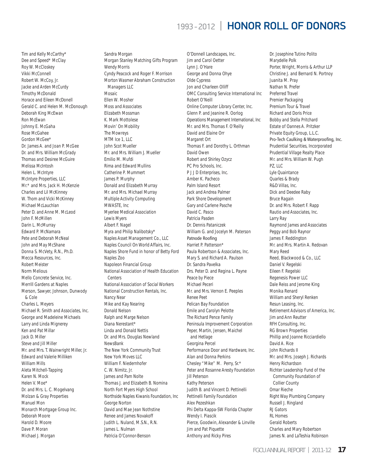Tim and Kelly McCarthy\* Dee and Speed\* McClay Roy W. McCloskey Vikki McConnell Robert W. McCoy, Jr. Jacke and Arden McCurdy Timothy McDonald Horace and Eileen McDonell Gerald C. and Helen M. McDonough Deborah King McEwan Ron McEwan Johnny E. McGaha Rose McGahee Gordon McGee\* Dr. James A. and Joan P. McGee Dr. and Mrs. William McGrady Thomas and Desiree McGuire Melissa McIntosh Helen L. McIntyre McIntyre Properties, LLC Mr.\* and Mrs. Jack H. McKenzie Charles and Lil McKinney W. Thom and Vicki McKinney Michael McLauchlan Peter D. and Anne M. McLeod John F. McMillen Darin L. McMurray Edward P. McNamara Pete and Deborah McNeal John and May McShane Donna S. McVety, R.N., Ph.D. Mecca Resources, Inc. Robert Meister Norm Melious Mello Concrete Service, Inc. Merrill Gardens at Naples Merson, Sawyer, Johnson, Dunwody & Cole Charles L. Meyers Michael R. Smith and Associates, Inc. George and Madeleine Michaels Larry and Linda Mignerey Ken and Pat Millar Jack D. Miller Steve and Jill Miller Mr. and Mrs. T. Wainwright Miller, Jr. Edward and Valerie Milliken William Mills Aleta Mitchell-Tapping Karen N. Mock Helen V. Moe\* Dr. and Mrs. L. C. Mogelvang Molzan & Gray Properties Manuel Mon Monarch Mortgage Group Inc. Deborah Moore Harold D. Moore Dave P. Moran Michael J. Morgan

Sandra Morgan Morgan Stanley Matching Gifts Program Wendy Morris Cyndy Peacock and Roger F. Morrison Morton Wasmer Abraham Construction Managers LLC Mosaic Ellen W. Mosher Moss and Associates Elizabeth Mossman K. Mark Mottolese Movin' On Mobility The Mowreys MTM Ice 1, LLC John Scot Mueller Mr. and Mrs. William J. Mueller Emilio M. Mufdi Rima and Edward Mullins Catherine P. Mummert James P. Murphy Donald and Elizabeth Murray Mr. and Mrs. Michael Murray Multiple Activity Computing MWASTE, Inc Myerlee Medical Association Lewis Myers Albert F. Nagel Myra and Philip Nalibotsky\* Naples Asset Management Co., LLC Naples Council On World Affairs, Inc. Naples Shore Fund in honor of Betty Ford Naples Zoo Napoleon Financial Group National Association of Health Education **Centers** National Association of Social Workers National Construction Rentals, Inc. Nancy Near Mike and Kay Nearing Donald Nelson Ralph and Marge Nelson Diana Nerestant\* Linda and Donald Nettis Dr. and Mrs. Douglas Newland NewsBank The New York Community Trust New York Moves LLC William F. Niedernhofer C. W. Nimitz, Jr. James and Pam Nolte Thomas J. and Elizabeth B. Nomina North Fort Myers High School Northside Naples Kiwanis Foundation, Inc George Norton David and Mae Jean Nothstine Renee and James Novakoff Judith L. Nuland, M.S.N., R.N. James L. Nulman Patricia O'Connor-Benson

O'Donnell Landscapes, Inc. Jim and Carol Oetter Lynn J. O'Hare George and Donna Ohye Olde Cypress Jon and Charleen Olliff OMC Consulting Service International Inc Robert O'Neill Online Computer Library Center, Inc. Glenn P. and Jeanine R. Oorlog Operations Management International, Inc Mr. and Mrs. Thomas F. O'Reilly David and Elaine Orr Margaret Ort Thomas F. and Dorothy L. Orthman David Owen Robert and Shirley Ozycz PC Pro Schools, Inc. P J J D Enterprises, Inc. Amber K. Pacheco Palm Island Resort Jack and Andrea Palmer Park Shore Development Gary and Carlene Pasche David C. Pasco Patricia Pasden Dr. Dennis Pataniczek William G. and Jocelyn M. Paterson Patnode Roofing Harriet P. Patterson\* Paula Robertson & Associates, Inc. Mary S. and Richard A. Paulson Dr. Sandra Pavelka Drs. Peter D. and Regina L. Payne Peace by Piece Michael Peceri Mr. and Mrs. Vernon E. Peeples Renee Peet Pelican Bay Foundation Emile and Carolyn Pelotte The Richard Pence Family Peninsula Improvement Corporation Peper, Martin, Jensen, Maichel and Hetlage Georgina Percel Performance Door and Hardware, Inc. Alan and Donna Perkins Chesley "Mike" M. Perry, Sr.\* Peter and Rosanne Aresty Foundation Jill Peterson Kathy Peterson Judith B. and Vincent D. Pettinelli Pettinelli Family Foundation Alex Pezeshkan Phi Delta Kappa-SW Florida Chapter Wendy I. Piascik Pierce, Goodwin, Alexander & Linville Jim and Pat Piquette Anthony and Ricky Pires

Dr. Josephine Tutino Polito Marydelle Polk Porter, Wright, Morris & Arthur LLP Christine J. and Bernard N. Portnoy Juanita M. Pray Nathan N. Prefer Preferred Travel Premier Packaging Premium Tour & Travel Richard and Doris Price Bobby and Stella Pritchard Estate of Oannes A. Pritzker Private Equity Group, L.L.C. Pro-Tech Caulking & Waterproofing, Inc. Prudential Securities, Incorporated Prudential Village Realty Place Mr. and Mrs. William W. Pugh PZ, LLC Lyle Quaintance Quarles & Brady R&D Villas, Inc. Dick and Deedee Raby Bruce Ragain Dr. and Mrs. Robert F. Rapp Rautio and Associates, Inc. Larry Ray Raymond James and Associates Peggy and Bob Raynor James F. Reddington Mr. and Mrs. Martin A. Redovan Mary Reed Reed, Blackwood & Co., LLC Daniel V. Regelski Eileen F. Regelski Regenesis Power LLC Dale Reiss and Jerome King Monika Renard William and Sheryl Renken Resun Leasing, Inc. Retirement Advisors of America, Inc. Jim and Ann Reutter RFH Consulting, Inc. RG Brown Properties Phillip and Joanne Ricciardiello David A. Rice John Richards II Mr. and Mrs. Joseph J. Richards Henry Richardson Richter Leadership Fund of the Community Foundation of Collier County Omar Rieche Right Way Plumbing Company Russell J. Ringland RJ Gators RL Homes Gerald Roberts Charles and Mary Robertson James N. and LaTeshia Robinson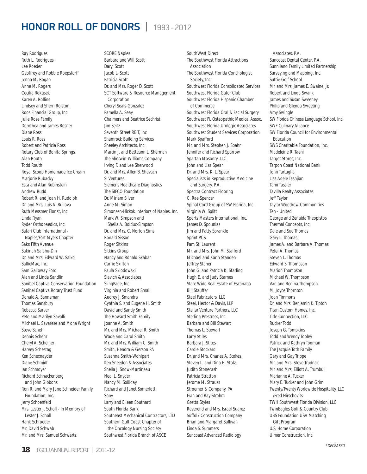Ray Rodrigues Ruth L. Rodrigues Lee Roeder Geoffrey and Robbie Roepstorff Jenna M. Rogan Anne M. Rogers Cecilia Rokusek Karen A. Rollins Lindsey and Sherri Rolston Roos Financial Group, Inc Julie Rose Family Dorothea and James Rosner Diane Ross Louis R. Ross Robert and Patricia Ross Rotary Club of Bonita Springs Alan Routh Todd Routh Royal Scoop Homemade Ice Cream Marjorie Rubacky Esta and Alan Rubinstein Andrew Rudd Robert R. and Joan H. Rudolph Dr. and Mrs. Luis A. Ruilova Ruth Messmer Florist, Inc. Linda Ryan Ryder Orthopaedics, Inc Safari Club International - Naples/Fort Myers Chapter Saks Fifth Avenue Sakinah Salahu-Din Dr. and Mrs. Edward W. Salko SallieMae, Inc. Sam Galloway Ford Alan and Linda Sandlin Sanibel Captiva Conservation Foundation Sanibel Captiva Rotary Trust Fund Donald A. Sanneman Thomas Sansbury Rebecca Sarver Pete and Marilyn Savalli Michael L. Savarese and Mona Wright Steve Scheff Dennis Schehr Cheryl A. Scheiner Harvey Schestag Ken Schexnayder Diane Schmidt Ian Schmoyer Richard Schnackenberg and John Gibbons Ron R. and Mary Jane Schneider Family Foundation, Inc. Jerry Schoenfeld Mrs. Lester J. Scholl - In Memory of Lester J. Scholl Hank Schroeder Mr. David Schwab Mr. and Mrs. Samuel Schwartz

SCORE Naples Barbara and Will Scott Daryl Scott Jacob L. Scott Patricia Scott Dr. and Mrs. Roger D. Scott SCT Software & Resource Management Corporation Cheryl Seals-Gonzalez Pamella A. Seay Chalmers and Beatrice Sechrist Jim Seitz Seventh Street REIT, Inc Shamrock Building Services Sheeley Architects, Inc. Martin J. and Betteann L. Sherman The Sherwin-Williams Company Irving F. and Lee Sherwood Dr. and Mrs. Allen B. Shevach SI Ventures Siemens Healthcare Diagnostics The SIFCO Foundation Dr. Miriam Silver Anne M. Simon Simonsen-Hickok Interiors of Naples, Inc. Mark W. Simpson and Sheila A. Bolduc-Simpson Dr. and Mrs. C. Norton Sims Ronald Sisson Roger Sitkins Sitkins Group Nancy and Ronald Skabar Carrie Skifton Paula Sklodowski Slavich & Associates SlingPage, Inc. Virginia and Robert Small Audrey J. Smandra Cynthia S. and Eugene H. Smith David and Sandy Smith The Howard Smith Family Joanne A. Smith Mr. and Mrs. Michael R. Smith Wade and Carol Smith Mr. and Mrs. William C. Smith Smith, Hendra & Gerson PA Susanna Smith-Wohlpart Ken Sneeden & Associates Sheila J. Snow-Martineau Neal L. Snyder Nancy M. Solliday Richard and Janet Somerlott Sony Larry and Eileen Southard South Florida Bank Southeast Mechanical Contractors, LTD Southern Gulf Coast Chapter of the Oncology Nursing Society Southwest Florida Branch of ASCE

SouthWest Direct The Southwest Florida Attractions Association The Southwest Florida Conchologist Society, Inc. Southwest Florida Consolidated Services Southwest Florida Gator Club Southwest Florida Hispanic Chamber of Commerce Southwest Florida Oral & Facial Surgery Southwest FL Osteopathic Medical Assoc. Southwest Florida Urologic Associates Southwest Student Services Corporation Mark Spafford Mr. and Mrs. Stephen J. Spahr Jennifer and Richard Sparrow Spartan Masonry, LLC John and Lisa Spear Dr. and Mrs. K. L. Spear Specialists in Reproductive Medicine and Surgery, P.A. Spectra Contract Flooring C. Rae Spencer Spinal Cord Group of SW Florida, Inc. Virginia W. Splitt Sports Masters International, Inc. James D. Spounias Jim and Patty Sprankle Sprint PCS Pam St. Laurent Mr. and Mrs. John M. Stafford Michael and Karin Standen Jeffrey Staner John G. and Patricia K. Starling Hugh E. and Judy Starnes State Wide Real Estate of Escanaba Bill Stauffer Steel Fabricators, LLC Steel, Hector & Davis, LLP Stellar Venture Partners, LLC Sterling Prestress, Inc. Barbara and Bill Stewart Thomas L. Stewart Larry Stiles Barbara J. Stites Carole Stockard Dr. and Mrs. Charles A. Stokes Steven L. and Dina H. Stolz Judith Stonecash Patricia Stratton Jerome M. Strauss Stroemer & Company, PA Fran and Ray Strohm Gretta Styles Reverend and Mrs. Israel Suarez Suffolk Construction Company Brian and Margaret Sullivan Linda S. Summers Suncoast Advanced Radiology

 Associates, P.A. Suncoast Dental Center, P.A. Sunniland Family Limited Partnership Surveying and Mapping, Inc. Suttie Golf School Mr. and Mrs. James E. Swaine, Jr. Robert and Linda Swank James and Susan Sweeney Philip and Glenda Sweeting Amy Swingle SW Florida Chinese Language School, Inc. SWF Culinary Alliance SW Florida Council for Environmental Education SWS Charitable Foundation, Inc. Madeleine R. Taeni Target Stores, Inc. Tarpon Coast National Bank John Tartaglia Lisa Adele Tashjian Tami Tassler Tavilla Realty Associates Jeff Taylor Taylor Woodrow Communities Ten - United George and Zenaida Theopistos Thermal Concepts, Inc. Dale and Sue Thomas Gary L. Thomas James A. and Barbara A. Thomas Peter A. Thomas Steven L. Thomas Edward S. Thompson Marion Thompson Michael W. Thompson Van and Regina Thompson M. Joyce Thornton Joan Timmons Dr. and Mrs. Benjamin K. Tipton Titan Custom Homes, Inc. Title Connection, LLC Rucker Todd Joseph G. Tompkins Todd and Wendy Tooley Patrick and Kathryn Tooman The Jacquie Toth Family Gary and Gay Trippe Mr. and Mrs. Steve Trudnak Mr. and Mrs. Elliott A. Trumbull Marianne A. Tucker Mary E. Tucker and John Grim Twenty/Twenty Worldwide Hospitality, LLC /Fred Hirschovits TWH Southwest Florida Division, LLC TwinEagles Golf & Country Club UBS Foundation USA Matching Gift Program U.S. Home Corporation Ulmer Construction, Inc.